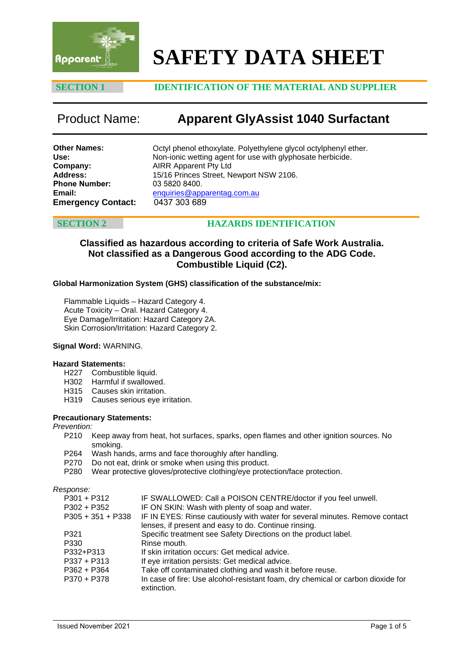

# **SAFETY DATA SHEET**

# **SECTION 1 IDENTIFICATION OF THE MATERIAL AND SUPPLIER**

# Product Name: **Apparent GlyAssist 1040 Surfactant**

| Other Names:              |  |
|---------------------------|--|
| Use:                      |  |
| Company:                  |  |
| <b>Address:</b>           |  |
| <b>Phone Number:</b>      |  |
| Email:                    |  |
| <b>Emergency Contact:</b> |  |

Octyl phenol ethoxylate. Polyethylene glycol octylphenyl ether. Non-ionic wetting agent for use with glyphosate herbicide. AIRR Apparent Pty Ltd 15/16 Princes Street, Newport NSW 2106. 03 5820 8400. [enquiries@apparentag.com.au](mailto:enquiries@apparentag.com.au) **Emergency Contact:** 0437 303 689

# **SECTION 2 HAZARDS IDENTIFICATION**

# **Classified as hazardous according to criteria of Safe Work Australia. Not classified as a Dangerous Good according to the ADG Code. Combustible Liquid (C2).**

### **Global Harmonization System (GHS) classification of the substance/mix:**

Flammable Liquids – Hazard Category 4. Acute Toxicity – Oral. Hazard Category 4. Eye Damage/Irritation: Hazard Category 2A. Skin Corrosion/Irritation: Hazard Category 2.

### **Signal Word:** WARNING.

### **Hazard Statements:**

- H227 Combustible liquid.
- H302 Harmful if swallowed.
- H315 Causes skin irritation.
- H319 Causes serious eye irritation.

### **Precautionary Statements:**

### *Prevention:*

- P210 Keep away from heat, hot surfaces, sparks, open flames and other ignition sources. No smoking.
- P264 Wash hands, arms and face thoroughly after handling.
- P270 Do not eat, drink or smoke when using this product.
- P280 Wear protective gloves/protective clothing/eye protection/face protection.

*Response:*

| $P301 + P312$       | IF SWALLOWED: Call a POISON CENTRE/doctor if you feel unwell.                                  |
|---------------------|------------------------------------------------------------------------------------------------|
| $P302 + P352$       | IF ON SKIN: Wash with plenty of soap and water.                                                |
| $P305 + 351 + P338$ | IF IN EYES: Rinse cautiously with water for several minutes. Remove contact                    |
|                     | lenses, if present and easy to do. Continue rinsing.                                           |
| P321                | Specific treatment see Safety Directions on the product label.                                 |
| P330                | Rinse mouth.                                                                                   |
| P332+P313           | If skin irritation occurs: Get medical advice.                                                 |
| $P337 + P313$       | If eye irritation persists: Get medical advice.                                                |
| $P362 + P364$       | Take off contaminated clothing and wash it before reuse.                                       |
| P370 + P378         | In case of fire: Use alcohol-resistant foam, dry chemical or carbon dioxide for<br>extinction. |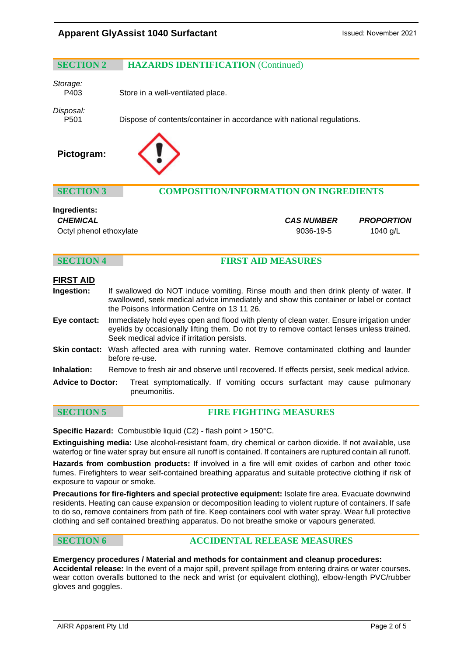# **SECTION 2 HAZARDS IDENTIFICATION** (Continued)

*Storage:* 

Store in a well-ventilated place.

*Disposal:*

Dispose of contents/container in accordance with national regulations.





# **SECTION 3 COMPOSITION/INFORMATION ON INGREDIENTS**

# **Ingredients:**

*CHEMICAL CAS NUMBER PROPORTION* Octyl phenol ethoxylate example of the state of the 9036-19-5 1040 g/L

### **SECTION 4 FIRST AID MEASURES**

# **FIRST AID**

- **Ingestion:** If swallowed do NOT induce vomiting. Rinse mouth and then drink plenty of water. If swallowed, seek medical advice immediately and show this container or label or contact the Poisons Information Centre on 13 11 26.
- **Eye contact:** Immediately hold eyes open and flood with plenty of clean water. Ensure irrigation under eyelids by occasionally lifting them. Do not try to remove contact lenses unless trained. Seek medical advice if irritation persists.
- **Skin contact:** Wash affected area with running water. Remove contaminated clothing and launder before re-use.
- **Inhalation:** Remove to fresh air and observe until recovered. If effects persist, seek medical advice.
- **Advice to Doctor:** Treat symptomatically. If vomiting occurs surfactant may cause pulmonary pneumonitis.

**SECTION 5 FIRE FIGHTING MEASURES**

**Specific Hazard:** Combustible liquid (C2) - flash point > 150°C.

**Extinguishing media:** Use alcohol-resistant foam, dry chemical or carbon dioxide. If not available, use waterfog or fine water spray but ensure all runoff is contained. If containers are ruptured contain all runoff.

**Hazards from combustion products:** If involved in a fire will emit oxides of carbon and other toxic fumes. Firefighters to wear self-contained breathing apparatus and suitable protective clothing if risk of exposure to vapour or smoke.

**Precautions for fire-fighters and special protective equipment:** Isolate fire area. Evacuate downwind residents. Heating can cause expansion or decomposition leading to violent rupture of containers. If safe to do so, remove containers from path of fire. Keep containers cool with water spray. Wear full protective clothing and self contained breathing apparatus. Do not breathe smoke or vapours generated.

# **SECTION 6 ACCIDENTAL RELEASE MEASURES**

### **Emergency procedures / Material and methods for containment and cleanup procedures:**

**Accidental release:** In the event of a major spill, prevent spillage from entering drains or water courses. wear cotton overalls buttoned to the neck and wrist (or equivalent clothing), elbow-length PVC/rubber gloves and goggles.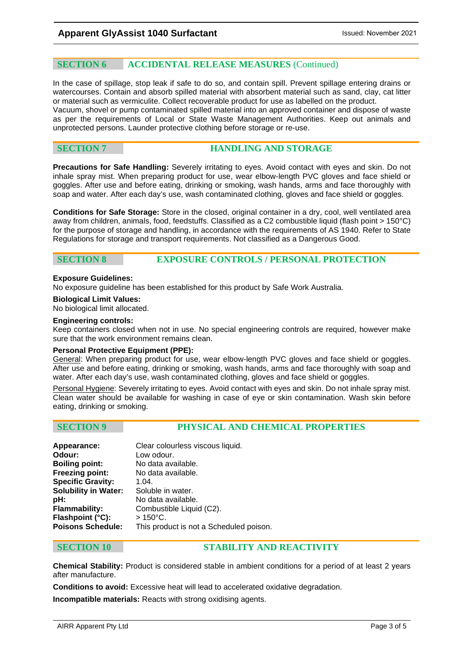### **SECTION 6 ACCIDENTAL RELEASE MEASURES** (Continued)

In the case of spillage, stop leak if safe to do so, and contain spill. Prevent spillage entering drains or watercourses. Contain and absorb spilled material with absorbent material such as sand, clay, cat litter or material such as vermiculite. Collect recoverable product for use as labelled on the product. Vacuum, shovel or pump contaminated spilled material into an approved container and dispose of waste as per the requirements of Local or State Waste Management Authorities. Keep out animals and unprotected persons. Launder protective clothing before storage or re-use.

# **SECTION 7 HANDLING AND STORAGE**

**Precautions for Safe Handling:** Severely irritating to eyes. Avoid contact with eyes and skin. Do not inhale spray mist. When preparing product for use, wear elbow-length PVC gloves and face shield or goggles. After use and before eating, drinking or smoking, wash hands, arms and face thoroughly with soap and water. After each day's use, wash contaminated clothing, gloves and face shield or goggles.

**Conditions for Safe Storage:** Store in the closed, original container in a dry, cool, well ventilated area away from children, animals, food, feedstuffs. Classified as a C2 combustible liquid (flash point > 150°C) for the purpose of storage and handling, in accordance with the requirements of AS 1940. Refer to State Regulations for storage and transport requirements. Not classified as a Dangerous Good.

# **SECTION 8 EXPOSURE CONTROLS / PERSONAL PROTECTION**

### **Exposure Guidelines:**

No exposure guideline has been established for this product by Safe Work Australia.

**Biological Limit Values:** 

No biological limit allocated.

### **Engineering controls:**

Keep containers closed when not in use. No special engineering controls are required, however make sure that the work environment remains clean.

### **Personal Protective Equipment (PPE):**

General: When preparing product for use, wear elbow-length PVC gloves and face shield or goggles. After use and before eating, drinking or smoking, wash hands, arms and face thoroughly with soap and water. After each day's use, wash contaminated clothing, gloves and face shield or goggles.

Personal Hygiene: Severely irritating to eyes. Avoid contact with eyes and skin. Do not inhale spray mist. Clean water should be available for washing in case of eye or skin contamination. Wash skin before eating, drinking or smoking.

### **SECTION 9 PHYSICAL AND CHEMICAL PROPERTIES**

| Appearance:                 | Clear colourless viscous liquid.        |
|-----------------------------|-----------------------------------------|
| Odour:                      | Low odour.                              |
| <b>Boiling point:</b>       | No data available.                      |
| <b>Freezing point:</b>      | No data available.                      |
| <b>Specific Gravity:</b>    | 1.04.                                   |
| <b>Solubility in Water:</b> | Soluble in water.                       |
| pH:                         | No data available.                      |
| Flammability:               | Combustible Liquid (C2).                |
| Flashpoint (°C):            | $>150^{\circ}$ C.                       |
| <b>Poisons Schedule:</b>    | This product is not a Scheduled poison. |
|                             |                                         |

### **SECTION 10 STABILITY AND REACTIVITY**

**Chemical Stability:** Product is considered stable in ambient conditions for a period of at least 2 years after manufacture.

**Conditions to avoid:** Excessive heat will lead to accelerated oxidative degradation. **Incompatible materials:** Reacts with strong oxidising agents.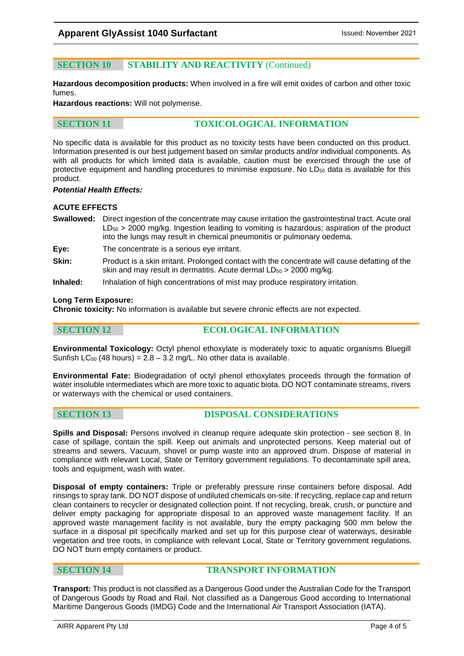# **SECTION 10 STABILITY AND REACTIVITY** (Continued)

**Hazardous decomposition products:** When involved in a fire will emit oxides of carbon and other toxic fumes.

**Hazardous reactions:** Will not polymerise.

# **SECTION 11 TOXICOLOGICAL INFORMATION**

No specific data is available for this product as no toxicity tests have been conducted on this product. Information presented is our best judgement based on similar products and/or individual components. As with all products for which limited data is available, caution must be exercised through the use of protective equipment and handling procedures to minimise exposure. No LD<sub>50</sub> data is available for this product.

### *Potential Health Effects:*

### **ACUTE EFFECTS**

- **Swallowed:** Direct ingestion of the concentrate may cause irritation the gastrointestinal tract. Acute oral  $LD_{50}$  > 2000 mg/kg. Ingestion leading to vomiting is hazardous; aspiration of the product into the lungs may result in chemical pneumonitis or pulmonary oedema.
- **Eye:** The concentrate is a serious eye irritant.
- **Skin:** Product is a skin irritant. Prolonged contact with the concentrate will cause defatting of the skin and may result in dermatitis. Acute dermal  $LD_{50}$  > 2000 mg/kg.
- **Inhaled:** Inhalation of high concentrations of mist may produce respiratory irritation.

### **Long Term Exposure:**

**Chronic toxicity:** No information is available but severe chronic effects are not expected.

# **SECTION 12 ECOLOGICAL INFORMATION**

**Environmental Toxicology:** Octyl phenol ethoxylate is moderately toxic to aquatic organisms Bluegill Sunfish  $LC_{50}$  (48 hours) = 2.8 – 3.2 mg/L. No other data is available.

**Environmental Fate:** Biodegradation of octyl phenol ethoxylates proceeds through the formation of water insoluble intermediates which are more toxic to aquatic biota. DO NOT contaminate streams, rivers or waterways with the chemical or used containers.

### **SECTION 13 DISPOSAL CONSIDERATIONS**

**Spills and Disposal:** Persons involved in cleanup require adequate skin protection - see section 8. In case of spillage, contain the spill. Keep out animals and unprotected persons. Keep material out of streams and sewers. Vacuum, shovel or pump waste into an approved drum. Dispose of material in compliance with relevant Local, State or Territory government regulations. To decontaminate spill area, tools and equipment, wash with water.

**Disposal of empty containers:** Triple or preferably pressure rinse containers before disposal. Add rinsings to spray tank. DO NOT dispose of undiluted chemicals on-site. If recycling, replace cap and return clean containers to recycler or designated collection point. If not recycling, break, crush, or puncture and deliver empty packaging for appropriate disposal to an approved waste management facility. If an approved waste management facility is not available, bury the empty packaging 500 mm below the surface in a disposal pit specifically marked and set up for this purpose clear of waterways, desirable vegetation and tree roots, in compliance with relevant Local, State or Territory government regulations. DO NOT burn empty containers or product.

# **SECTION 14 TRANSPORT INFORMATION**

**Transport:** This product is not classified as a Dangerous Good under the Australian Code for the Transport of Dangerous Goods by Road and Rail. Not classified as a Dangerous Good according to International Maritime Dangerous Goods (IMDG) Code and the International Air Transport Association (IATA).